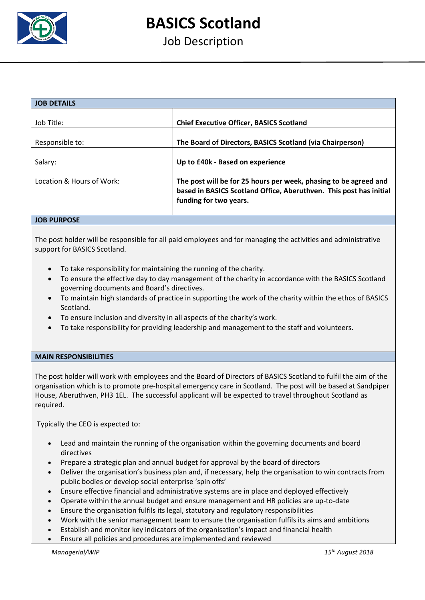

# **BASICS Scotland**

# Job Description

| <b>JOB DETAILS</b>                                                                                                                                                                            |                                                           |  |  |
|-----------------------------------------------------------------------------------------------------------------------------------------------------------------------------------------------|-----------------------------------------------------------|--|--|
| Job Title:                                                                                                                                                                                    | <b>Chief Executive Officer, BASICS Scotland</b>           |  |  |
|                                                                                                                                                                                               |                                                           |  |  |
| Responsible to:                                                                                                                                                                               | The Board of Directors, BASICS Scotland (via Chairperson) |  |  |
| Salary:                                                                                                                                                                                       | Up to £40k - Based on experience                          |  |  |
| Location & Hours of Work:<br>The post will be for 25 hours per week, phasing to be agreed and<br>based in BASICS Scotland Office, Aberuthven. This post has initial<br>funding for two years. |                                                           |  |  |
| <b>JOB PURPOSE</b>                                                                                                                                                                            |                                                           |  |  |

## The post holder will be responsible for all paid employees and for managing the activities and administrative support for BASICS Scotland.

- To take responsibility for maintaining the running of the charity.
- To ensure the effective day to day management of the charity in accordance with the BASICS Scotland governing documents and Board's directives.
- To maintain high standards of practice in supporting the work of the charity within the ethos of BASICS Scotland.
- To ensure inclusion and diversity in all aspects of the charity's work.
- To take responsibility for providing leadership and management to the staff and volunteers.

### **MAIN RESPONSIBILITIES**

The post holder will work with employees and the Board of Directors of BASICS Scotland to fulfil the aim of the organisation which is to promote pre-hospital emergency care in Scotland. The post will be based at Sandpiper House, Aberuthven, PH3 1EL. The successful applicant will be expected to travel throughout Scotland as required.

Typically the CEO is expected to:

- Lead and maintain the running of the organisation within the governing documents and board directives
- Prepare a strategic plan and annual budget for approval by the board of directors
- Deliver the organisation's business plan and, if necessary, help the organisation to win contracts from public bodies or develop social enterprise 'spin offs'
- Ensure effective financial and administrative systems are in place and deployed effectively
- Operate within the annual budget and ensure management and HR policies are up-to-date
- Ensure the organisation fulfils its legal, statutory and regulatory responsibilities
- Work with the senior management team to ensure the organisation fulfils its aims and ambitions
- Establish and monitor key indicators of the organisation's impact and financial health
- Ensure all policies and procedures are implemented and reviewed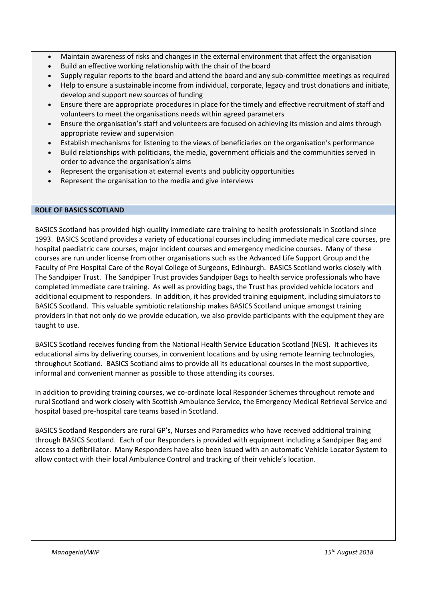- Maintain awareness of risks and changes in the external environment that affect the organisation
- Build an effective working relationship with the chair of the board
- Supply regular reports to the board and attend the board and any sub-committee meetings as required
- Help to ensure a sustainable income from individual, corporate, legacy and trust donations and initiate, develop and support new sources of funding
- Ensure there are appropriate procedures in place for the timely and effective recruitment of staff and volunteers to meet the organisations needs within agreed parameters
- Ensure the organisation's staff and volunteers are focused on achieving its mission and aims through appropriate review and supervision
- Establish mechanisms for listening to the views of beneficiaries on the organisation's performance
- Build relationships with politicians, the media, government officials and the communities served in order to advance the organisation's aims
- Represent the organisation at external events and publicity opportunities
- Represent the organisation to the media and give interviews

#### **ROLE OF BASICS SCOTLAND**

BASICS Scotland has provided high quality immediate care training to health professionals in Scotland since 1993. BASICS Scotland provides a variety of educational courses including immediate medical care courses, pre hospital paediatric care courses, major incident courses and emergency medicine courses. Many of these courses are run under license from other organisations such as the Advanced Life Support Group and the Faculty of Pre Hospital Care of the Royal College of Surgeons, Edinburgh. BASICS Scotland works closely with The Sandpiper Trust. The Sandpiper Trust provides Sandpiper Bags to health service professionals who have completed immediate care training. As well as providing bags, the Trust has provided vehicle locators and additional equipment to responders. In addition, it has provided training equipment, including simulators to BASICS Scotland. This valuable symbiotic relationship makes BASICS Scotland unique amongst training providers in that not only do we provide education, we also provide participants with the equipment they are taught to use.

BASICS Scotland receives funding from the National Health Service Education Scotland (NES). It achieves its educational aims by delivering courses, in convenient locations and by using remote learning technologies, throughout Scotland. BASICS Scotland aims to provide all its educational courses in the most supportive, informal and convenient manner as possible to those attending its courses.

In addition to providing training courses, we co-ordinate local Responder Schemes throughout remote and rural Scotland and work closely with Scottish Ambulance Service, the Emergency Medical Retrieval Service and hospital based pre-hospital care teams based in Scotland.

BASICS Scotland Responders are rural GP's, Nurses and Paramedics who have received additional training through BASICS Scotland. Each of our Responders is provided with equipment including a Sandpiper Bag and access to a defibrillator. Many Responders have also been issued with an automatic Vehicle Locator System to allow contact with their local Ambulance Control and tracking of their vehicle's location.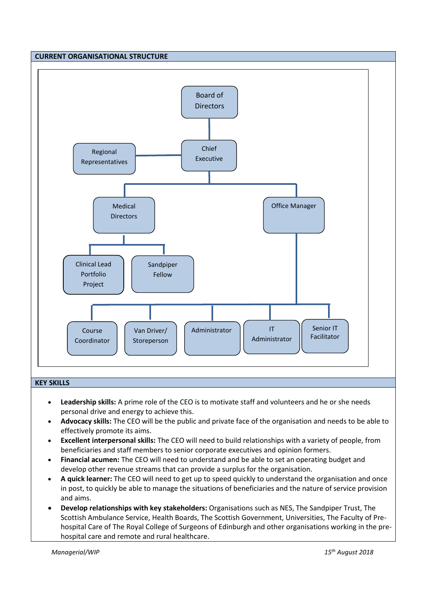

- **Leadership skills:** A prime role of the CEO is to motivate staff and volunteers and he or she needs personal drive and energy to achieve this.
- **Advocacy skills:** The CEO will be the public and private face of the organisation and needs to be able to effectively promote its aims.
- **Excellent interpersonal skills:** The CEO will need to build relationships with a variety of people, from beneficiaries and staff members to senior corporate executives and opinion formers.
- **Financial acumen:** The CEO will need to understand and be able to set an operating budget and develop other revenue streams that can provide a surplus for the organisation.
- **A quick learner:** The CEO will need to get up to speed quickly to understand the organisation and once in post, to quickly be able to manage the situations of beneficiaries and the nature of service provision and aims.
- **Develop relationships with key stakeholders:** Organisations such as NES, The Sandpiper Trust, The Scottish Ambulance Service, Health Boards, The Scottish Government, Universities, The Faculty of Prehospital Care of The Royal College of Surgeons of Edinburgh and other organisations working in the prehospital care and remote and rural healthcare.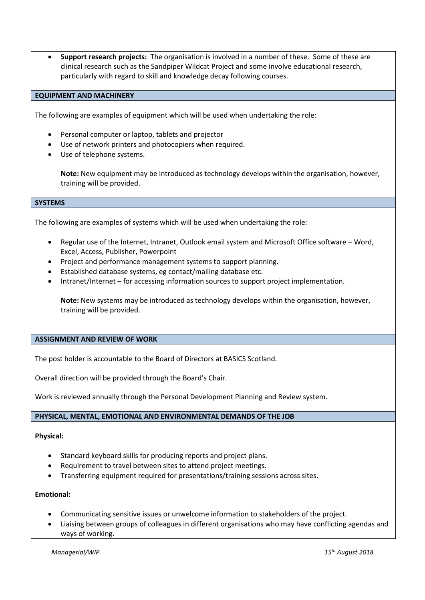**Support research projects:** The organisation is involved in a number of these. Some of these are clinical research such as the Sandpiper Wildcat Project and some involve educational research, particularly with regard to skill and knowledge decay following courses.

#### **EQUIPMENT AND MACHINERY**

The following are examples of equipment which will be used when undertaking the role:

- Personal computer or laptop, tablets and projector
- Use of network printers and photocopiers when required.
- Use of telephone systems.

**Note:** New equipment may be introduced as technology develops within the organisation, however, training will be provided.

#### **SYSTEMS**

The following are examples of systems which will be used when undertaking the role:

- Regular use of the Internet, Intranet, Outlook email system and Microsoft Office software Word, Excel, Access, Publisher, Powerpoint
- Project and performance management systems to support planning.
- Established database systems, eg contact/mailing database etc.
- Intranet/Internet for accessing information sources to support project implementation.

**Note:** New systems may be introduced as technology develops within the organisation, however, training will be provided.

#### **ASSIGNMENT AND REVIEW OF WORK**

The post holder is accountable to the Board of Directors at BASICS Scotland.

Overall direction will be provided through the Board's Chair.

Work is reviewed annually through the Personal Development Planning and Review system.

#### **PHYSICAL, MENTAL, EMOTIONAL AND ENVIRONMENTAL DEMANDS OF THE JOB**

#### **Physical:**

- Standard keyboard skills for producing reports and project plans.
- Requirement to travel between sites to attend project meetings.
- Transferring equipment required for presentations/training sessions across sites.

#### **Emotional:**

- Communicating sensitive issues or unwelcome information to stakeholders of the project.
- Liaising between groups of colleagues in different organisations who may have conflicting agendas and ways of working.